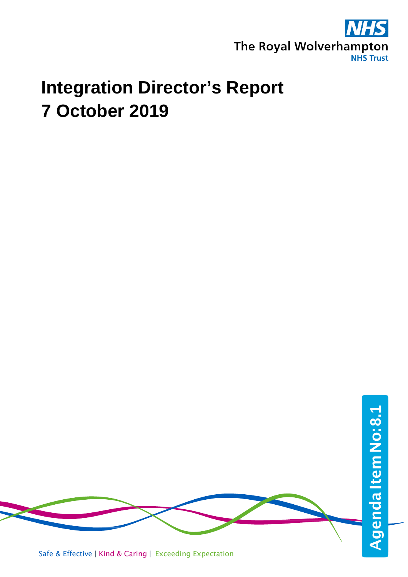

# **Integration Director's Report 7 October 2019**

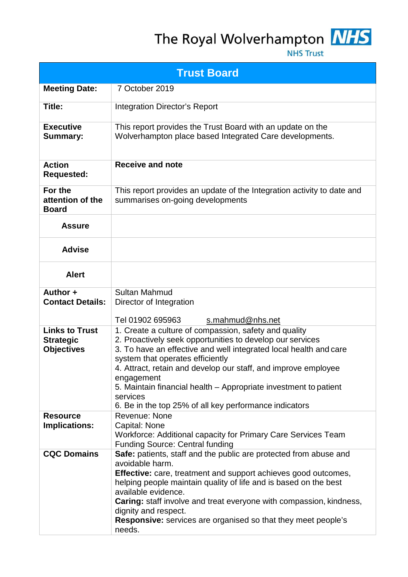# The Royal Wolverhampton NHS



| <b>Trust Board</b>                                             |                                                                                                                                                                                                                                                                                                                                                                                                                                                       |  |
|----------------------------------------------------------------|-------------------------------------------------------------------------------------------------------------------------------------------------------------------------------------------------------------------------------------------------------------------------------------------------------------------------------------------------------------------------------------------------------------------------------------------------------|--|
| <b>Meeting Date:</b>                                           | 7 October 2019                                                                                                                                                                                                                                                                                                                                                                                                                                        |  |
| Title:                                                         | <b>Integration Director's Report</b>                                                                                                                                                                                                                                                                                                                                                                                                                  |  |
| <b>Executive</b><br><b>Summary:</b>                            | This report provides the Trust Board with an update on the<br>Wolverhampton place based Integrated Care developments.                                                                                                                                                                                                                                                                                                                                 |  |
| <b>Action</b><br><b>Requested:</b>                             | <b>Receive and note</b>                                                                                                                                                                                                                                                                                                                                                                                                                               |  |
| For the<br>attention of the<br><b>Board</b>                    | This report provides an update of the Integration activity to date and<br>summarises on-going developments                                                                                                                                                                                                                                                                                                                                            |  |
| <b>Assure</b>                                                  |                                                                                                                                                                                                                                                                                                                                                                                                                                                       |  |
| <b>Advise</b>                                                  |                                                                                                                                                                                                                                                                                                                                                                                                                                                       |  |
| <b>Alert</b>                                                   |                                                                                                                                                                                                                                                                                                                                                                                                                                                       |  |
| Author +<br><b>Contact Details:</b>                            | <b>Sultan Mahmud</b><br>Director of Integration<br>Tel 01902 695963<br>s.mahmud@nhs.net                                                                                                                                                                                                                                                                                                                                                               |  |
| <b>Links to Trust</b><br><b>Strategic</b><br><b>Objectives</b> | 1. Create a culture of compassion, safety and quality<br>2. Proactively seek opportunities to develop our services<br>3. To have an effective and well integrated local health and care<br>system that operates efficiently<br>4. Attract, retain and develop our staff, and improve employee<br>engagement<br>5. Maintain financial health – Appropriate investment to patient<br>services<br>6. Be in the top 25% of all key performance indicators |  |
| <b>Resource</b><br><b>Implications:</b>                        | Revenue: None<br>Capital: None<br>Workforce: Additional capacity for Primary Care Services Team<br><b>Funding Source: Central funding</b>                                                                                                                                                                                                                                                                                                             |  |
| <b>CQC Domains</b>                                             | Safe: patients, staff and the public are protected from abuse and<br>avoidable harm.<br><b>Effective:</b> care, treatment and support achieves good outcomes,<br>helping people maintain quality of life and is based on the best<br>available evidence.<br>Caring: staff involve and treat everyone with compassion, kindness,<br>dignity and respect.<br><b>Responsive:</b> services are organised so that they meet people's<br>needs.             |  |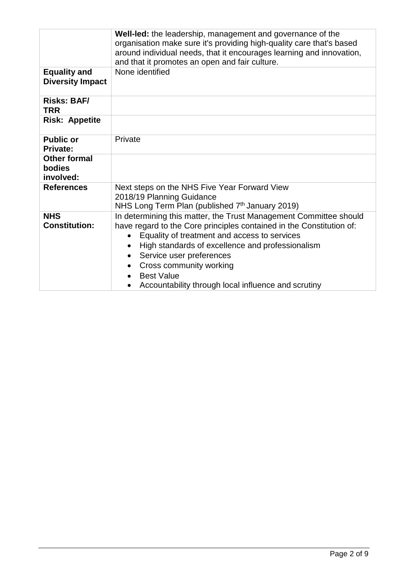|                                                | Well-led: the leadership, management and governance of the<br>organisation make sure it's providing high-quality care that's based<br>around individual needs, that it encourages learning and innovation,<br>and that it promotes an open and fair culture.                                                                                                                                                            |
|------------------------------------------------|-------------------------------------------------------------------------------------------------------------------------------------------------------------------------------------------------------------------------------------------------------------------------------------------------------------------------------------------------------------------------------------------------------------------------|
| <b>Equality and</b><br><b>Diversity Impact</b> | None identified                                                                                                                                                                                                                                                                                                                                                                                                         |
| <b>Risks: BAF/</b><br><b>TRR</b>               |                                                                                                                                                                                                                                                                                                                                                                                                                         |
| <b>Risk: Appetite</b>                          |                                                                                                                                                                                                                                                                                                                                                                                                                         |
| <b>Public or</b><br><b>Private:</b>            | Private                                                                                                                                                                                                                                                                                                                                                                                                                 |
| <b>Other formal</b><br>bodies<br>involved:     |                                                                                                                                                                                                                                                                                                                                                                                                                         |
| <b>References</b>                              | Next steps on the NHS Five Year Forward View<br>2018/19 Planning Guidance<br>NHS Long Term Plan (published $7th$ January 2019)                                                                                                                                                                                                                                                                                          |
| <b>NHS</b><br><b>Constitution:</b>             | In determining this matter, the Trust Management Committee should<br>have regard to the Core principles contained in the Constitution of:<br>Equality of treatment and access to services<br>High standards of excellence and professionalism<br>$\bullet$<br>Service user preferences<br>Cross community working<br><b>Best Value</b><br>$\bullet$<br>Accountability through local influence and scrutiny<br>$\bullet$ |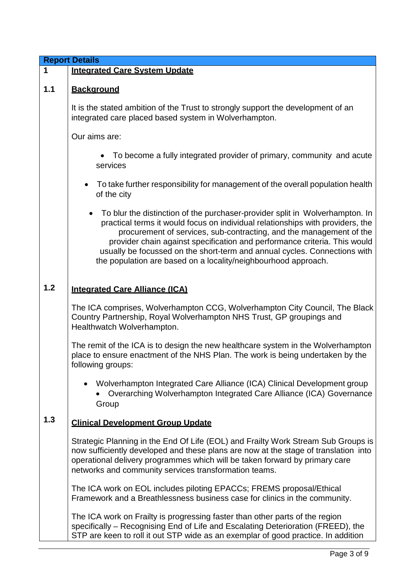|       | <b>Report Details</b>                                                                                                                                                                                                                                                                                                                                                                                                                                             |  |  |
|-------|-------------------------------------------------------------------------------------------------------------------------------------------------------------------------------------------------------------------------------------------------------------------------------------------------------------------------------------------------------------------------------------------------------------------------------------------------------------------|--|--|
| 1     | <b>Integrated Care System Update</b>                                                                                                                                                                                                                                                                                                                                                                                                                              |  |  |
| $1.1$ | <b>Background</b>                                                                                                                                                                                                                                                                                                                                                                                                                                                 |  |  |
|       | It is the stated ambition of the Trust to strongly support the development of an<br>integrated care placed based system in Wolverhampton.                                                                                                                                                                                                                                                                                                                         |  |  |
|       | Our aims are:                                                                                                                                                                                                                                                                                                                                                                                                                                                     |  |  |
|       | To become a fully integrated provider of primary, community and acute<br>services                                                                                                                                                                                                                                                                                                                                                                                 |  |  |
|       | To take further responsibility for management of the overall population health<br>of the city                                                                                                                                                                                                                                                                                                                                                                     |  |  |
|       | To blur the distinction of the purchaser-provider split in Wolverhampton. In<br>practical terms it would focus on individual relationships with providers, the<br>procurement of services, sub-contracting, and the management of the<br>provider chain against specification and performance criteria. This would<br>usually be focussed on the short-term and annual cycles. Connections with<br>the population are based on a locality/neighbourhood approach. |  |  |
| 1.2   | <b>Integrated Care Alliance (ICA)</b>                                                                                                                                                                                                                                                                                                                                                                                                                             |  |  |
|       | The ICA comprises, Wolverhampton CCG, Wolverhampton City Council, The Black<br>Country Partnership, Royal Wolverhampton NHS Trust, GP groupings and<br>Healthwatch Wolverhampton.                                                                                                                                                                                                                                                                                 |  |  |
|       | The remit of the ICA is to design the new healthcare system in the Wolverhampton<br>place to ensure enactment of the NHS Plan. The work is being undertaken by the<br>following groups:                                                                                                                                                                                                                                                                           |  |  |
|       | • Wolverhampton Integrated Care Alliance (ICA) Clinical Development group<br>Overarching Wolverhampton Integrated Care Alliance (ICA) Governance<br>Group                                                                                                                                                                                                                                                                                                         |  |  |
| 1.3   | <b>Clinical Development Group Update</b>                                                                                                                                                                                                                                                                                                                                                                                                                          |  |  |
|       | Strategic Planning in the End Of Life (EOL) and Frailty Work Stream Sub Groups is<br>now sufficiently developed and these plans are now at the stage of translation into<br>operational delivery programmes which will be taken forward by primary care<br>networks and community services transformation teams.                                                                                                                                                  |  |  |
|       | The ICA work on EOL includes piloting EPACCs; FREMS proposal/Ethical<br>Framework and a Breathlessness business case for clinics in the community.                                                                                                                                                                                                                                                                                                                |  |  |
|       | The ICA work on Frailty is progressing faster than other parts of the region<br>specifically – Recognising End of Life and Escalating Deterioration (FREED), the<br>STP are keen to roll it out STP wide as an exemplar of good practice. In addition                                                                                                                                                                                                             |  |  |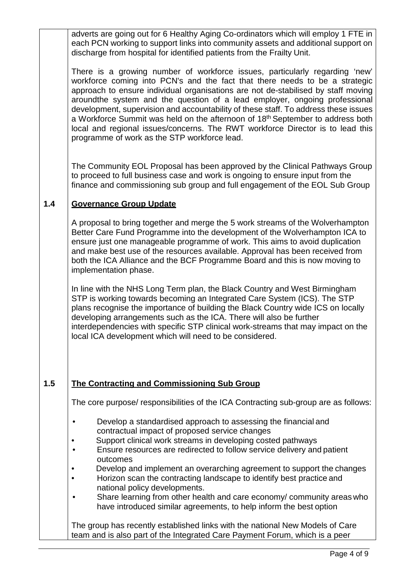adverts are going out for 6 Healthy Aging Co-ordinators which will employ 1 FTE in each PCN working to support links into community assets and additional support on discharge from hospital for identified patients from the Frailty Unit.

There is a growing number of workforce issues, particularly regarding 'new' workforce coming into PCN's and the fact that there needs to be a strategic approach to ensure individual organisations are not de-stabilised by staff moving aroundthe system and the question of a lead employer, ongoing professional development, supervision and accountability of these staff. To address these issues a Workforce Summit was held on the afternoon of 18<sup>th</sup> September to address both local and regional issues/concerns. The RWT workforce Director is to lead this programme of work as the STP workforce lead.

The Community EOL Proposal has been approved by the Clinical Pathways Group to proceed to full business case and work is ongoing to ensure input from the finance and commissioning sub group and full engagement of the EOL Sub Group

#### **1.4 Governance Group Update**

A proposal to bring together and merge the 5 work streams of the Wolverhampton Better Care Fund Programme into the development of the Wolverhampton ICA to ensure just one manageable programme of work. This aims to avoid duplication and make best use of the resources available. Approval has been received from both the ICA Alliance and the BCF Programme Board and this is now moving to implementation phase.

In line with the NHS Long Term plan, the Black Country and West Birmingham STP is working towards becoming an Integrated Care System (ICS). The STP plans recognise the importance of building the Black Country wide ICS on locally developing arrangements such as the ICA. There will also be further interdependencies with specific STP clinical work-streams that may impact on the local ICA development which will need to be considered.

## **1.5 The Contracting and Commissioning Sub Group**

The core purpose/ responsibilities of the ICA Contracting sub-group are as follows:

- Develop a standardised approach to assessing the financial and contractual impact of proposed service changes
- Support clinical work streams in developing costed pathways
- Ensure resources are redirected to follow service delivery and patient outcomes
- Develop and implement an overarching agreement to support the changes
- Horizon scan the contracting landscape to identify best practice and national policy developments.
- Share learning from other health and care economy/ community areas who have introduced similar agreements, to help inform the best option

The group has recently established links with the national New Models of Care team and is also part of the Integrated Care Payment Forum, which is a peer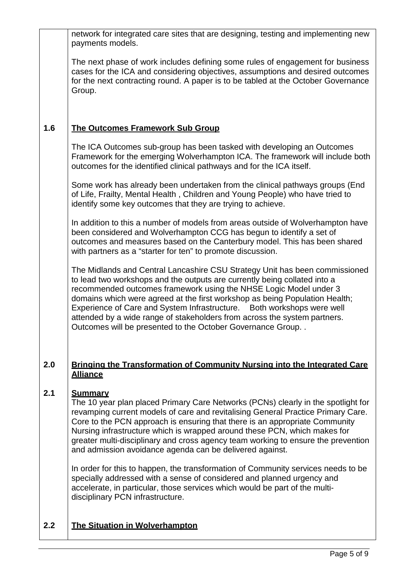|     | network for integrated care sites that are designing, testing and implementing new<br>payments models.                                                                                                                                                                                                                                                                                                                                                                                                                             |
|-----|------------------------------------------------------------------------------------------------------------------------------------------------------------------------------------------------------------------------------------------------------------------------------------------------------------------------------------------------------------------------------------------------------------------------------------------------------------------------------------------------------------------------------------|
|     | The next phase of work includes defining some rules of engagement for business<br>cases for the ICA and considering objectives, assumptions and desired outcomes<br>for the next contracting round. A paper is to be tabled at the October Governance<br>Group.                                                                                                                                                                                                                                                                    |
| 1.6 | <b>The Outcomes Framework Sub Group</b>                                                                                                                                                                                                                                                                                                                                                                                                                                                                                            |
|     | The ICA Outcomes sub-group has been tasked with developing an Outcomes<br>Framework for the emerging Wolverhampton ICA. The framework will include both<br>outcomes for the identified clinical pathways and for the ICA itself.                                                                                                                                                                                                                                                                                                   |
|     | Some work has already been undertaken from the clinical pathways groups (End<br>of Life, Frailty, Mental Health, Children and Young People) who have tried to<br>identify some key outcomes that they are trying to achieve.                                                                                                                                                                                                                                                                                                       |
|     | In addition to this a number of models from areas outside of Wolverhampton have<br>been considered and Wolverhampton CCG has begun to identify a set of<br>outcomes and measures based on the Canterbury model. This has been shared<br>with partners as a "starter for ten" to promote discussion.                                                                                                                                                                                                                                |
|     | The Midlands and Central Lancashire CSU Strategy Unit has been commissioned<br>to lead two workshops and the outputs are currently being collated into a<br>recommended outcomes framework using the NHSE Logic Model under 3<br>domains which were agreed at the first workshop as being Population Health;<br>Experience of Care and System Infrastructure.  Both workshops were well<br>attended by a wide range of stakeholders from across the system partners.<br>Outcomes will be presented to the October Governance Group |
| 2.0 | <b>Bringing the Transformation of Community Nursing into the Integrated Care</b><br><b>Alliance</b>                                                                                                                                                                                                                                                                                                                                                                                                                                |
| 2.1 | <b>Summary</b><br>The 10 year plan placed Primary Care Networks (PCNs) clearly in the spotlight for<br>revamping current models of care and revitalising General Practice Primary Care.<br>Core to the PCN approach is ensuring that there is an appropriate Community<br>Nursing infrastructure which is wrapped around these PCN, which makes for<br>greater multi-disciplinary and cross agency team working to ensure the prevention<br>and admission avoidance agenda can be delivered against.                               |
|     | In order for this to happen, the transformation of Community services needs to be<br>specially addressed with a sense of considered and planned urgency and<br>accelerate, in particular, those services which would be part of the multi-                                                                                                                                                                                                                                                                                         |

disciplinary PCN infrastructure.

# **2.2 The Situation in Wolverhampton**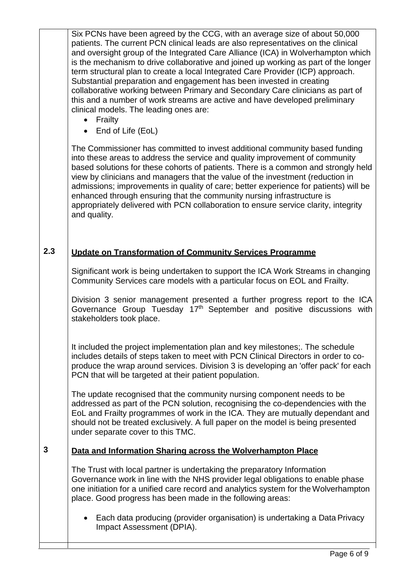Six PCNs have been agreed by the CCG, with an average size of about 50,000 patients. The current PCN clinical leads are also representatives on the clinical and oversight group of the Integrated Care Alliance (ICA) in Wolverhampton which is the mechanism to drive collaborative and joined up working as part of the longer term structural plan to create a local Integrated Care Provider (ICP) approach. Substantial preparation and engagement has been invested in creating collaborative working between Primary and Secondary Care clinicians as part of this and a number of work streams are active and have developed preliminary clinical models. The leading ones are:

- Frailty
- End of Life (EoL)

The Commissioner has committed to invest additional community based funding into these areas to address the service and quality improvement of community based solutions for these cohorts of patients. There is a common and strongly held view by clinicians and managers that the value of the investment (reduction in admissions; improvements in quality of care; better experience for patients) will be enhanced through ensuring that the community nursing infrastructure is appropriately delivered with PCN collaboration to ensure service clarity, integrity and quality.

### **2.3 Update on Transformation of Community Services Programme**

Significant work is being undertaken to support the ICA Work Streams in changing Community Services care models with a particular focus on EOL and Frailty.

Division 3 senior management presented a further progress report to the ICA Governance Group Tuesday 17<sup>th</sup> September and positive discussions with stakeholders took place.

It included the project implementation plan and key milestones;. The schedule includes details of steps taken to meet with PCN Clinical Directors in order to coproduce the wrap around services. Division 3 is developing an 'offer pack' for each PCN that will be targeted at their patient population.

The update recognised that the community nursing component needs to be addressed as part of the PCN solution, recognising the co-dependencies with the EoL and Frailty programmes of work in the ICA. They are mutually dependant and should not be treated exclusively. A full paper on the model is being presented under separate cover to this TMC.

#### **3 Data and Information Sharing across the Wolverhampton Place**

The Trust with local partner is undertaking the preparatory Information Governance work in line with the NHS provider legal obligations to enable phase one initiation for a unified care record and analytics system for the Wolverhampton place. Good progress has been made in the following areas:

• Each data producing (provider organisation) is undertaking a Data Privacy Impact Assessment (DPIA).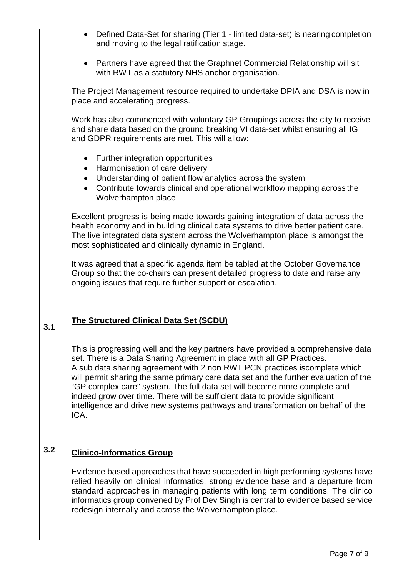|     | Defined Data-Set for sharing (Tier 1 - limited data-set) is nearing completion<br>$\bullet$<br>and moving to the legal ratification stage.                                                                                                                                                                                                                                                                                                                                                                                                                                              |
|-----|-----------------------------------------------------------------------------------------------------------------------------------------------------------------------------------------------------------------------------------------------------------------------------------------------------------------------------------------------------------------------------------------------------------------------------------------------------------------------------------------------------------------------------------------------------------------------------------------|
|     | Partners have agreed that the Graphnet Commercial Relationship will sit<br>$\bullet$<br>with RWT as a statutory NHS anchor organisation.                                                                                                                                                                                                                                                                                                                                                                                                                                                |
|     | The Project Management resource required to undertake DPIA and DSA is now in<br>place and accelerating progress.                                                                                                                                                                                                                                                                                                                                                                                                                                                                        |
|     | Work has also commenced with voluntary GP Groupings across the city to receive<br>and share data based on the ground breaking VI data-set whilst ensuring all IG<br>and GDPR requirements are met. This will allow:                                                                                                                                                                                                                                                                                                                                                                     |
|     | Further integration opportunities<br>$\bullet$<br>Harmonisation of care delivery<br>$\bullet$<br>Understanding of patient flow analytics across the system<br>$\bullet$<br>Contribute towards clinical and operational workflow mapping across the<br>$\bullet$<br>Wolverhampton place                                                                                                                                                                                                                                                                                                  |
|     | Excellent progress is being made towards gaining integration of data across the<br>health economy and in building clinical data systems to drive better patient care.<br>The live integrated data system across the Wolverhampton place is amongst the<br>most sophisticated and clinically dynamic in England.                                                                                                                                                                                                                                                                         |
|     | It was agreed that a specific agenda item be tabled at the October Governance<br>Group so that the co-chairs can present detailed progress to date and raise any<br>ongoing issues that require further support or escalation.                                                                                                                                                                                                                                                                                                                                                          |
| 3.1 | The Structured Clinical Data Set (SCDU)                                                                                                                                                                                                                                                                                                                                                                                                                                                                                                                                                 |
|     | This is progressing well and the key partners have provided a comprehensive data<br>set. There is a Data Sharing Agreement in place with all GP Practices.<br>A sub data sharing agreement with 2 non RWT PCN practices iscomplete which<br>will permit sharing the same primary care data set and the further evaluation of the<br>"GP complex care" system. The full data set will become more complete and<br>indeed grow over time. There will be sufficient data to provide significant<br>intelligence and drive new systems pathways and transformation on behalf of the<br>ICA. |
| 3.2 | <b>Clinico-Informatics Group</b>                                                                                                                                                                                                                                                                                                                                                                                                                                                                                                                                                        |
|     | Evidence based approaches that have succeeded in high performing systems have<br>relied heavily on clinical informatics, strong evidence base and a departure from<br>standard approaches in managing patients with long term conditions. The clinico<br>informatics group convened by Prof Dev Singh is central to evidence based service<br>redesign internally and across the Wolverhampton place.                                                                                                                                                                                   |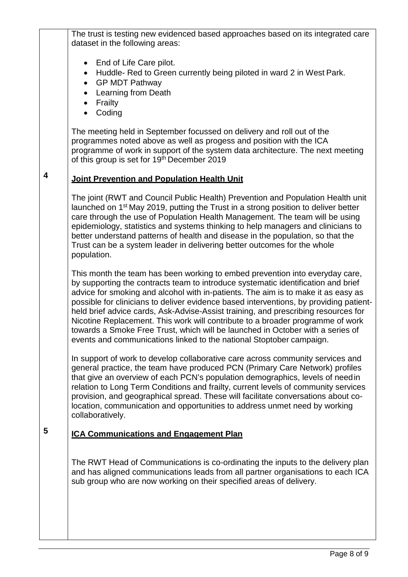The trust is testing new evidenced based approaches based on its integrated care dataset in the following areas:

- End of Life Care pilot.
- Huddle- Red to Green currently being piloted in ward 2 in West Park.
- GP MDT Pathway
- Learning from Death
- Frailty
- Coding

**4**

The meeting held in September focussed on delivery and roll out of the programmes noted above as well as progess and position with the ICA programme of work in support of the system data architecture. The next meeting of this group is set for 19<sup>th</sup> December 2019

# **Joint Prevention and Population Health Unit**

The joint (RWT and Council Public Health) Prevention and Population Health unit launched on 1st May 2019, putting the Trust in a strong position to deliver better care through the use of Population Health Management. The team will be using epidemiology, statistics and systems thinking to help managers and clinicians to better understand patterns of health and disease in the population, so that the Trust can be a system leader in delivering better outcomes for the whole population.

This month the team has been working to embed prevention into everyday care, by supporting the contracts team to introduce systematic identification and brief advice for smoking and alcohol with in-patients. The aim is to make it as easy as possible for clinicians to deliver evidence based interventions, by providing patientheld brief advice cards, Ask-Advise-Assist training, and prescribing resources for Nicotine Replacement. This work will contribute to a broader programme of work towards a Smoke Free Trust, which will be launched in October with a series of events and communications linked to the national Stoptober campaign.

In support of work to develop collaborative care across community services and general practice, the team have produced PCN (Primary Care Network) profiles that give an overview of each PCN's population demographics, levels of needin relation to Long Term Conditions and frailty, current levels of community services provision, and geographical spread. These will facilitate conversations about colocation, communication and opportunities to address unmet need by working collaboratively.

# **5 ICA Communications and Engagement Plan**

The RWT Head of Communications is co-ordinating the inputs to the delivery plan and has aligned communications leads from all partner organisations to each ICA sub group who are now working on their specified areas of delivery.